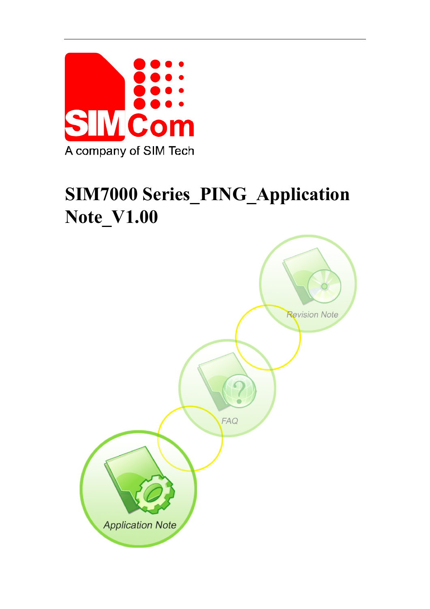

# **SIM7000 Series\_PING\_Application Note\_V1.00**

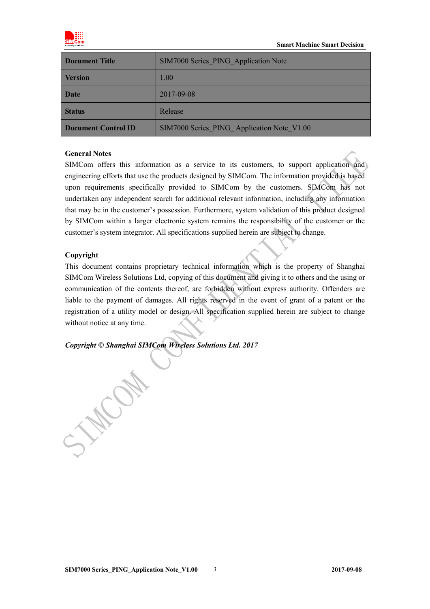

| Document Title      | SIM7000 Series PING Application Note       |  |
|---------------------|--------------------------------------------|--|
| <b>Version</b>      | 1.00                                       |  |
| <b>Date</b>         | 2017-09-08                                 |  |
| <b>Status</b>       | Release                                    |  |
| Document Control ID | SIM7000 Series PING Application Note_V1.00 |  |

#### **General Notes**

SIMCom offers this information as a service to its customers, to support application and engineering efforts that use the products designed by SIMCom. The information provided is based upon requirements specifically provided to SIMCom by the customers. SIMCom has not undertaken any independent search for additional relevant information, including any information that may be in the customer's possession. Furthermore, system validation of this product designed by SIMCom within a larger electronic system remains the responsibility of the customer or the customer's system integrator. All specifications supplied herein are subject to change.

#### **Copyright**

This document contains proprietary technical information which is the property of Shanghai SIMCom Wireless Solutions Ltd, copying of this document and giving it to others and the using or communication of the contents thereof, are forbidden without express authority. Offenders are liable to the payment of damages. All rights reserved in the event of grant of a patent or the registration of a utility model or design. All specification supplied herein are subject to change without notice at any time.

*Copyright © Shanghai SIMCom Wireless Solutions Ltd. 2017*

J.Way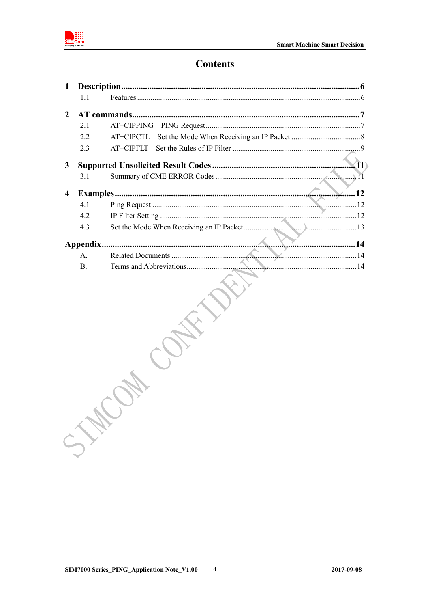

# **Contents**

| $\mathbf{1}$     |           |            |
|------------------|-----------|------------|
|                  | 11        |            |
| $\boldsymbol{2}$ |           |            |
|                  | 2.1       | AT+CIPPING |
|                  | 2.2       | AT+CIPCTL  |
|                  | 2.3       | AT+CIPFLT  |
| $\mathbf{3}$     |           | (11)       |
|                  | 3.1       |            |
| 4                |           | 12         |
|                  | 4.1       |            |
|                  | 4.2       |            |
|                  | 4.3       |            |
|                  |           |            |
|                  | А.        |            |
|                  | <b>B.</b> |            |
|                  |           |            |
|                  |           |            |

 $\overline{4}$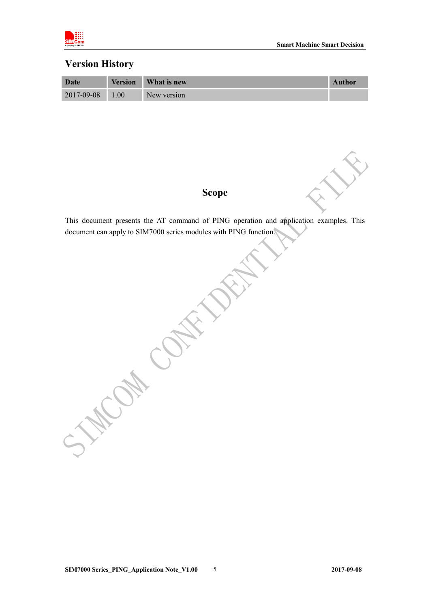

### **Version History**

| Date       | <b>Version</b> | What is new | <b>Author</b> |
|------------|----------------|-------------|---------------|
| 2017-09-08 | 1.00           | New version |               |

# **Scope**

This document presents the AT command of PING operation and application examples. This document can apply to SIM7000 series modules with PING function.

OH COL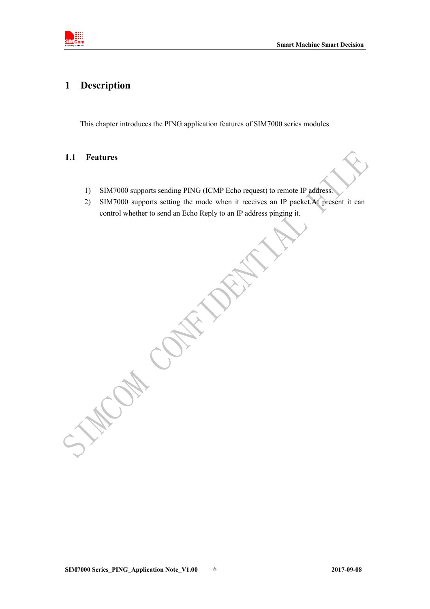<span id="page-4-0"></span>

# **1 Description**

This chapter introduces the PING application features of SIM7000 series modules

### <span id="page-4-1"></span>**1.1 Features**

- 1) SIM7000 supports sending PING (ICMP Echo request) to remote IP address.
- 2) SIM7000 supports setting the mode when it receives an IP packet.At present it can control whether to send an Echo Reply to an IP address pinging it.

**SIM7000 Series\_PING\_Application Note\_V1.00** 6 **2017-09-08**

CAN CON

 $\hat{C}$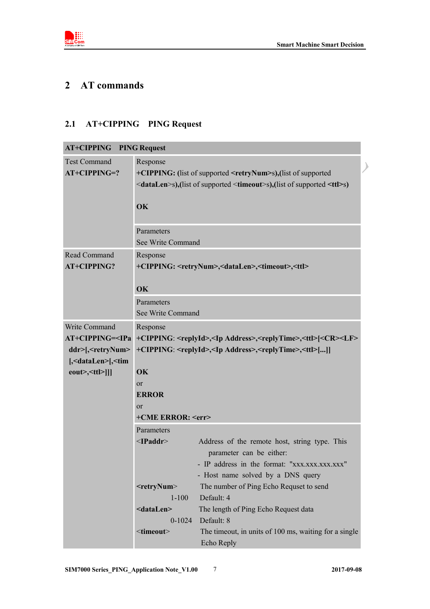<span id="page-5-0"></span>

# **2 AT commands**

# <span id="page-5-1"></span>**2.1 AT+CIPPING PING Request**

| <b>AT+CIPPING PING Request</b>                                   |                                                                                                                                                                                          |                                                                                     |  |
|------------------------------------------------------------------|------------------------------------------------------------------------------------------------------------------------------------------------------------------------------------------|-------------------------------------------------------------------------------------|--|
| <b>Test Command</b><br>$AT+CIPPING=?$                            | Response<br>+CIPPING: (list of supported <retrynum>s), (list of supported<br/><datalen>s),(list of supported <timeout>s),(list of supported <ttl>s)</ttl></timeout></datalen></retrynum> |                                                                                     |  |
|                                                                  | OK                                                                                                                                                                                       |                                                                                     |  |
|                                                                  | Parameters                                                                                                                                                                               |                                                                                     |  |
|                                                                  | See Write Command                                                                                                                                                                        |                                                                                     |  |
| Read Command                                                     | Response                                                                                                                                                                                 |                                                                                     |  |
| AT+CIPPING?                                                      |                                                                                                                                                                                          | +CIPPING: <retrynum>,<datalen>,<timeout>,<ttl></ttl></timeout></datalen></retrynum> |  |
|                                                                  | OK                                                                                                                                                                                       |                                                                                     |  |
|                                                                  | Parameters                                                                                                                                                                               |                                                                                     |  |
|                                                                  | See Write Command                                                                                                                                                                        |                                                                                     |  |
| Write Command                                                    | Response                                                                                                                                                                                 |                                                                                     |  |
| <b>AT+CIPPING=<ipa< b=""></ipa<></b>                             | +CIPPING: <replyid>,<ip address="">,<replytime>,<ttl>[<cr><lf></lf></cr></ttl></replytime></ip></replyid>                                                                                |                                                                                     |  |
| ddr>[, <retrynum></retrynum>                                     | +CIPPING: <replyid>,<ip address="">,<replytime>,<ttl>[]]</ttl></replytime></ip></replyid>                                                                                                |                                                                                     |  |
| [, <datalen>[,<tim< th=""><th colspan="2"></th></tim<></datalen> |                                                                                                                                                                                          |                                                                                     |  |
| eout>, <ttl>]]]</ttl>                                            | OK<br>or                                                                                                                                                                                 |                                                                                     |  |
|                                                                  | <b>ERROR</b>                                                                                                                                                                             |                                                                                     |  |
|                                                                  | or                                                                                                                                                                                       |                                                                                     |  |
|                                                                  | +CME ERROR: <err></err>                                                                                                                                                                  |                                                                                     |  |
|                                                                  | Parameters                                                                                                                                                                               |                                                                                     |  |
|                                                                  | $\leq$ <b>Paddr&gt;</b>                                                                                                                                                                  | Address of the remote host, string type. This<br>parameter can be either:           |  |
|                                                                  |                                                                                                                                                                                          | - IP address in the format: "xxx.xxx.xxx.xxx"                                       |  |
|                                                                  |                                                                                                                                                                                          | - Host name solved by a DNS query                                                   |  |
|                                                                  | $<$ retryNum $>$                                                                                                                                                                         | The number of Ping Echo Requset to send                                             |  |
|                                                                  | $1 - 100$                                                                                                                                                                                | Default: 4                                                                          |  |
|                                                                  | <datalen></datalen>                                                                                                                                                                      | The length of Ping Echo Request data                                                |  |
|                                                                  | $0 - 1024$                                                                                                                                                                               | Default: 8                                                                          |  |
|                                                                  | $\le$ timeout $>$                                                                                                                                                                        | The timeout, in units of 100 ms, waiting for a single<br>Echo Reply                 |  |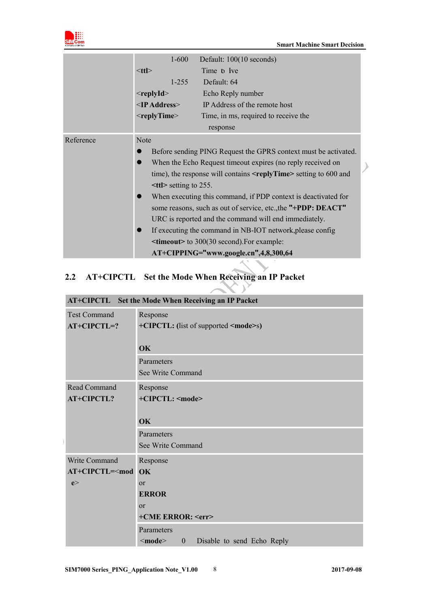

|           | $1 - 600$                                                                    | Default: 100(10 seconds)                                       |  |
|-----------|------------------------------------------------------------------------------|----------------------------------------------------------------|--|
|           | $<$ ttl $>$                                                                  | Time <b>b</b> Ive                                              |  |
|           | $1 - 255$                                                                    | Default: 64                                                    |  |
|           | $<$ replyId $>$                                                              | Echo Reply number                                              |  |
|           | $\leq$ IP Address $\geq$                                                     | IP Address of the remote host                                  |  |
|           | $<$ replyTime $>$                                                            | Time, in ms, required to receive the                           |  |
|           |                                                                              | response                                                       |  |
| Reference | <b>Note</b>                                                                  |                                                                |  |
|           | Before sending PING Request the GPRS context must be activated.              |                                                                |  |
|           | When the Echo Request timeout expires (no reply received on                  |                                                                |  |
|           | time), the response will contains $\leq$ replyTime $\geq$ setting to 600 and |                                                                |  |
|           | $\leq t$ ttl> setting to 255.                                                |                                                                |  |
|           |                                                                              | When executing this command, if PDP context is deactivated for |  |
|           | some reasons, such as out of service, etc., the "+PDP: DEACT"                |                                                                |  |
|           | URC is reported and the command will end immediately.                        |                                                                |  |
|           | If executing the command in NB-IOT network, please config                    |                                                                |  |
|           | <b><timeout></timeout></b> to 300(30 second). For example:                   |                                                                |  |
|           | AT+CIPPING="www.google.cn",4,8,300,64                                        |                                                                |  |

 $\mathcal{A}$ 

 $\mathcal{V}$ 

# <span id="page-6-0"></span>**2.2 AT+CIPCTL Set the Mode When Receiving an IP Packet**

|                     | AT+CIPCTL Set the Mode When Receiving an IP Packet         |  |  |
|---------------------|------------------------------------------------------------|--|--|
| <b>Test Command</b> | Response                                                   |  |  |
| $AT+CIPCTL=?$       | +CIPCTL: (list of supported <mode>s)</mode>                |  |  |
|                     |                                                            |  |  |
|                     | <b>OK</b>                                                  |  |  |
|                     | Parameters                                                 |  |  |
|                     | See Write Command                                          |  |  |
| Read Command        | Response                                                   |  |  |
| <b>AT+CIPCTL?</b>   | +CIPCTL: <mode></mode>                                     |  |  |
|                     |                                                            |  |  |
|                     | OK                                                         |  |  |
|                     | Parameters                                                 |  |  |
|                     | See Write Command                                          |  |  |
| Write Command       | Response                                                   |  |  |
| $AT+CIPCTL=$        | OK                                                         |  |  |
| e                   | or                                                         |  |  |
|                     | <b>ERROR</b>                                               |  |  |
|                     | $\alpha$                                                   |  |  |
|                     | +CME ERROR: <err></err>                                    |  |  |
|                     | Parameters                                                 |  |  |
|                     | $<$ mode $>$<br>$\mathbf{0}$<br>Disable to send Echo Reply |  |  |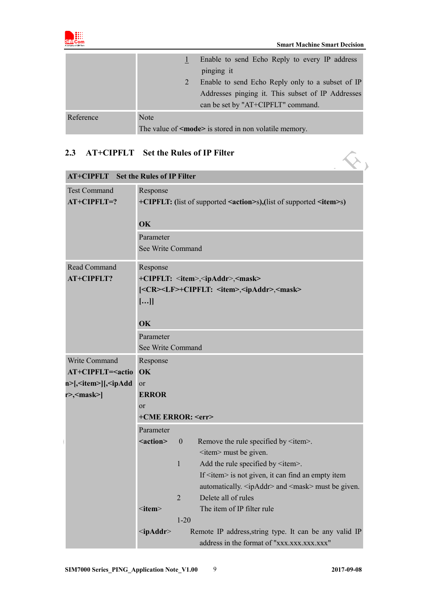

|           |                                                             | Enable to send Echo Reply to every IP address     |
|-----------|-------------------------------------------------------------|---------------------------------------------------|
|           |                                                             | pinging it                                        |
|           | Enable to send Echo Reply only to a subset of IP            |                                                   |
|           |                                                             | Addresses pinging it. This subset of IP Addresses |
|           | can be set by "AT+CIPFLT" command.                          |                                                   |
| Reference | Note                                                        |                                                   |
|           | The value of $\leq$ mode> is stored in non volatile memory. |                                                   |

## **2.3 AT+CIPFLT Set the Rules of IP Filter**

<span id="page-7-0"></span>

| AT+CIPFLT Set the Rules of IP Filter<br>2.3                               |                                                                                                |                |                                                                                                      |
|---------------------------------------------------------------------------|------------------------------------------------------------------------------------------------|----------------|------------------------------------------------------------------------------------------------------|
| <b>AT+CIPFLT</b> Set the Rules of IP Filter                               |                                                                                                |                |                                                                                                      |
| <b>Test Command</b><br>AT+CIPFLT=?                                        | Response<br>+CIPFLT: (list of supported <action>s),(list of supported <item>s)</item></action> |                |                                                                                                      |
|                                                                           | OK                                                                                             |                |                                                                                                      |
|                                                                           | Parameter                                                                                      |                |                                                                                                      |
|                                                                           | See Write Command                                                                              |                |                                                                                                      |
| Read Command                                                              | Response                                                                                       |                |                                                                                                      |
| <b>AT+CIPFLT?</b>                                                         |                                                                                                |                | +CIPFLT: <item>,<ipaddr>,<mask></mask></ipaddr></item>                                               |
|                                                                           |                                                                                                |                | <cr><lf>+CIPFLT: <item>,<ipaddr>,<mask></mask></ipaddr></item></lf></cr>                             |
|                                                                           | []                                                                                             |                |                                                                                                      |
|                                                                           | OK                                                                                             |                |                                                                                                      |
|                                                                           | Parameter                                                                                      |                |                                                                                                      |
|                                                                           | See Write Command                                                                              |                |                                                                                                      |
| Write Command                                                             | Response                                                                                       |                |                                                                                                      |
| AT+CIPFLT= <actio< td=""><td colspan="2">OK</td></actio<>                 | OK                                                                                             |                |                                                                                                      |
| n>[, <item>][,<ipadd< td=""><td>or</td><td></td><td></td></ipadd<></item> | or                                                                                             |                |                                                                                                      |
| r>, <mask>]</mask>                                                        | <b>ERROR</b>                                                                                   |                |                                                                                                      |
|                                                                           | or                                                                                             |                |                                                                                                      |
|                                                                           | +CME ERROR: <err></err>                                                                        |                |                                                                                                      |
|                                                                           | Parameter                                                                                      |                |                                                                                                      |
|                                                                           | <action></action>                                                                              | $\mathbf{0}$   | Remove the rule specified by $\leq$ item>.                                                           |
|                                                                           |                                                                                                |                | <item> must be given.</item>                                                                         |
|                                                                           |                                                                                                | 1              | Add the rule specified by <item>.</item>                                                             |
|                                                                           |                                                                                                |                | If $\le$ item $>$ is not given, it can find an empty item                                            |
|                                                                           |                                                                                                |                | automatically. <ipaddr> and <mask> must be given.</mask></ipaddr>                                    |
|                                                                           |                                                                                                | $\overline{2}$ | Delete all of rules                                                                                  |
|                                                                           | $\le$ item $>$                                                                                 |                | The item of IP filter rule                                                                           |
|                                                                           |                                                                                                | $1 - 20$       |                                                                                                      |
|                                                                           | $\leq$ ip $\bf Addr$                                                                           |                | Remote IP address, string type. It can be any valid IP<br>address in the format of "xxx.xxx.xxx.xxx" |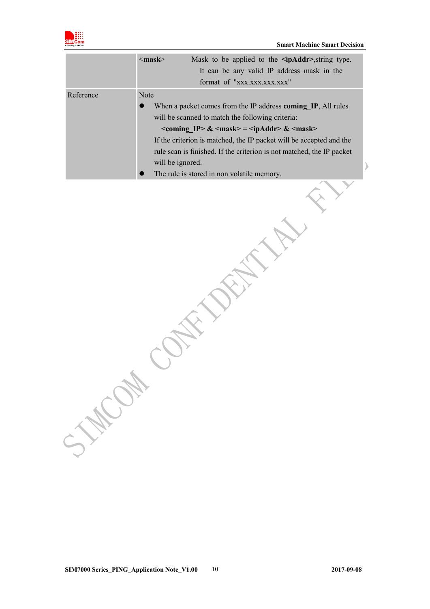

| Reference<br>Note<br>When a packet comes from the IP address coming IP, All rules<br>will be scanned to match the following criteria:<br>$\leq$ coming IP> & $\leq$ mask> = $\leq$ ipAddr> & $\leq$ mask><br>If the criterion is matched, the IP packet will be accepted and the<br>rule scan is finished. If the criterion is not matched, the IP packet<br>will be ignored.<br>♪<br>The rule is stored in non volatile memory.<br>SWOW | $\langle \text{mask} \rangle$<br>Mask to be applied to the <b>sipAddr</b> >, string type.<br>It can be any valid IP address mask in the<br>format of "xxx.xxx.xxx.xxx" |
|------------------------------------------------------------------------------------------------------------------------------------------------------------------------------------------------------------------------------------------------------------------------------------------------------------------------------------------------------------------------------------------------------------------------------------------|------------------------------------------------------------------------------------------------------------------------------------------------------------------------|
|                                                                                                                                                                                                                                                                                                                                                                                                                                          |                                                                                                                                                                        |
|                                                                                                                                                                                                                                                                                                                                                                                                                                          |                                                                                                                                                                        |
|                                                                                                                                                                                                                                                                                                                                                                                                                                          |                                                                                                                                                                        |
|                                                                                                                                                                                                                                                                                                                                                                                                                                          |                                                                                                                                                                        |
|                                                                                                                                                                                                                                                                                                                                                                                                                                          |                                                                                                                                                                        |
|                                                                                                                                                                                                                                                                                                                                                                                                                                          |                                                                                                                                                                        |
|                                                                                                                                                                                                                                                                                                                                                                                                                                          |                                                                                                                                                                        |
|                                                                                                                                                                                                                                                                                                                                                                                                                                          |                                                                                                                                                                        |
|                                                                                                                                                                                                                                                                                                                                                                                                                                          |                                                                                                                                                                        |
|                                                                                                                                                                                                                                                                                                                                                                                                                                          |                                                                                                                                                                        |
|                                                                                                                                                                                                                                                                                                                                                                                                                                          |                                                                                                                                                                        |
|                                                                                                                                                                                                                                                                                                                                                                                                                                          |                                                                                                                                                                        |
|                                                                                                                                                                                                                                                                                                                                                                                                                                          |                                                                                                                                                                        |
|                                                                                                                                                                                                                                                                                                                                                                                                                                          |                                                                                                                                                                        |
|                                                                                                                                                                                                                                                                                                                                                                                                                                          |                                                                                                                                                                        |
|                                                                                                                                                                                                                                                                                                                                                                                                                                          |                                                                                                                                                                        |
|                                                                                                                                                                                                                                                                                                                                                                                                                                          |                                                                                                                                                                        |
|                                                                                                                                                                                                                                                                                                                                                                                                                                          |                                                                                                                                                                        |
|                                                                                                                                                                                                                                                                                                                                                                                                                                          |                                                                                                                                                                        |
|                                                                                                                                                                                                                                                                                                                                                                                                                                          |                                                                                                                                                                        |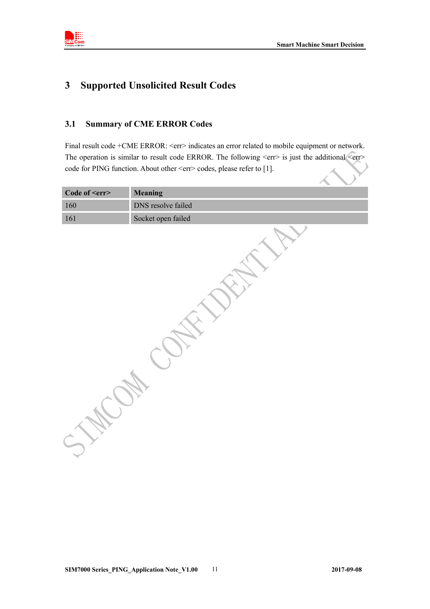<span id="page-9-0"></span>

# **3 Supported Unsolicited Result Codes**

### <span id="page-9-1"></span>**3.1 Summary of CME ERROR Codes**

Final result code +CME ERROR: <err> indicates an error related to mobile equipment or network. The operation is similar to result code ERROR. The following <err> is just the additional <err> code for PING function. About other <err>cers codes, please refer to [1].  $\lambda$ 

| <b>Meaning</b>     |  |
|--------------------|--|
| DNS resolve failed |  |
| Socket open failed |  |
|                    |  |
|                    |  |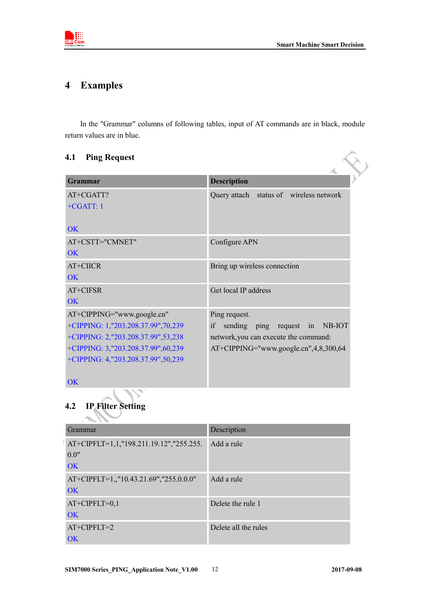<span id="page-10-0"></span>

# **4 Examples**

In the "Grammar" columns of following tables, input of AT commands are in black, module return values are in blue.

### **4.1 Ping Request**

<span id="page-10-1"></span>

| 4.1<br><b>Ping Request</b>         |                                          |
|------------------------------------|------------------------------------------|
| <b>Grammar</b>                     | <b>Description</b>                       |
| AT+CGATT?<br>$+CGATT:1$            | Query attach status of wireless network  |
| <b>OK</b>                          |                                          |
| AT+CSTT="CMNET"                    | Configure APN                            |
| OK                                 |                                          |
| AT+CIICR                           | Bring up wireless connection             |
| OK                                 |                                          |
| AT+CIFSR                           | Get local IP address                     |
| $\overline{\text{OK}}$             |                                          |
| AT+CIPPING="www.google.cn"         | Ping request.                            |
| +CIPPING: 1,"203.208.37.99",70,239 | sending ping request in NB-IOT<br>if     |
| +CIPPING: 2,"203.208.37.99",53,238 | network, you can execute the command:    |
| +CIPPING: 3,"203.208.37.99",60,239 | $AT+CIPPING="www.google.cn", 4,8,300,64$ |
| +CIPPING: 4,"203.208.37.99",50,239 |                                          |
| <b>OK</b>                          |                                          |

<span id="page-10-2"></span>**4.2 IP Filter Setting**

| Grammar                                 | Description          |
|-----------------------------------------|----------------------|
| AT+CIPFLT=1,1,"198.211.19.12","255.255. | Add a rule           |
| 0.0"                                    |                      |
| <b>OK</b>                               |                      |
| AT+CIPFLT=1,,"10.43.21.69","255.0.0.0"  | Add a rule           |
| OK                                      |                      |
| $AT+CIPFLT=0,1$                         | Delete the rule 1    |
| <b>OK</b>                               |                      |
| $AT+CIPFLT=2$                           | Delete all the rules |
| $\overline{\text{OK}}$                  |                      |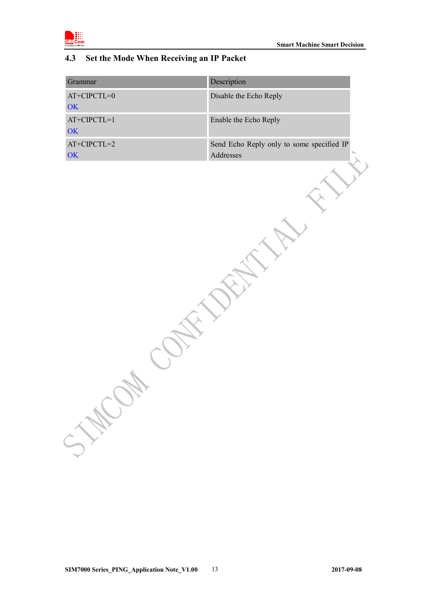

### <span id="page-11-0"></span>**4.3 Set the Mode When Receiving an IP Packet**

| Disable the Echo Reply<br>$AT+CIPCTL=0$<br>OK                                            |
|------------------------------------------------------------------------------------------|
|                                                                                          |
| $AT+CIPCTL=1$<br>Enable the Echo Reply<br>OK                                             |
| $AT+CIPCTL=2$<br>Send Echo Reply only to some specified IP<br>Addresses<br>$\mathbf{OK}$ |
| STAC                                                                                     |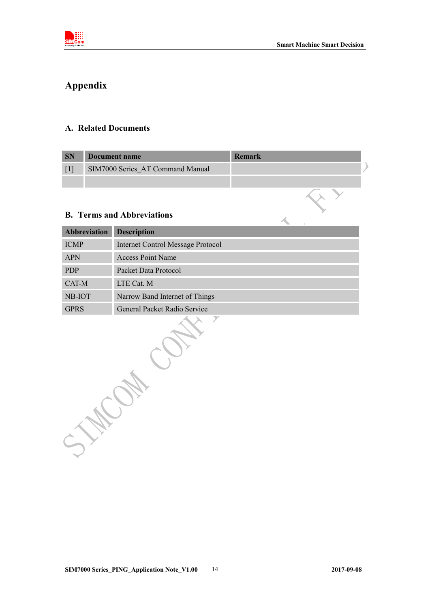<span id="page-12-0"></span>

 $\mathcal{A}_{\mathbf{c}}$ 

# **Appendix**

### <span id="page-12-1"></span>**A. Related Documents**

| <b>SN</b> | Document name                    | Remark |  |
|-----------|----------------------------------|--------|--|
|           | SIM7000 Series AT Command Manual |        |  |
|           |                                  |        |  |

### <span id="page-12-2"></span>**B. Terms and Abbreviations**

| <b>Abbreviation</b> | <b>Description</b>                       |  |
|---------------------|------------------------------------------|--|
| <b>ICMP</b>         | <b>Internet Control Message Protocol</b> |  |
| <b>APN</b>          | <b>Access Point Name</b>                 |  |
| <b>PDP</b>          | Packet Data Protocol                     |  |
| CAT-M               | LTE Cat. M                               |  |
| NB-IOT              | Narrow Band Internet of Things           |  |
| <b>GPRS</b>         | General Packet Radio Service             |  |
|                     |                                          |  |